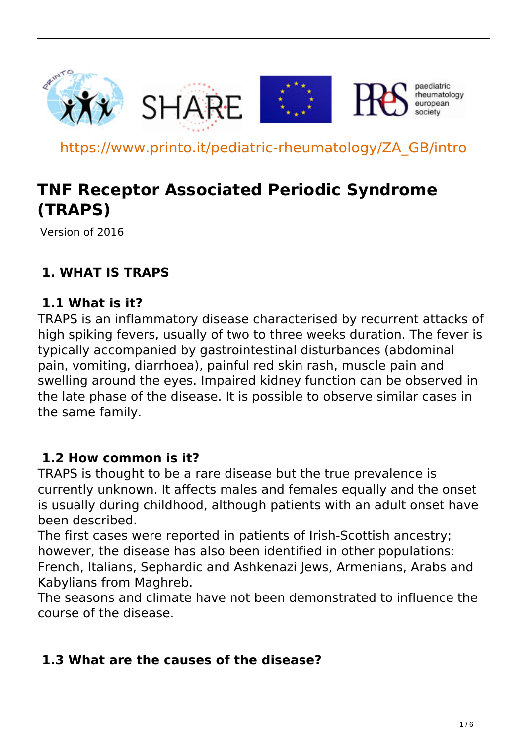

https://www.printo.it/pediatric-rheumatology/ZA\_GB/intro

# **TNF Receptor Associated Periodic Syndrome (TRAPS)**

Version of 2016

# **1. WHAT IS TRAPS**

### **1.1 What is it?**

TRAPS is an inflammatory disease characterised by recurrent attacks of high spiking fevers, usually of two to three weeks duration. The fever is typically accompanied by gastrointestinal disturbances (abdominal pain, vomiting, diarrhoea), painful red skin rash, muscle pain and swelling around the eyes. Impaired kidney function can be observed in the late phase of the disease. It is possible to observe similar cases in the same family.

#### **1.2 How common is it?**

TRAPS is thought to be a rare disease but the true prevalence is currently unknown. It affects males and females equally and the onset is usually during childhood, although patients with an adult onset have been described.

The first cases were reported in patients of Irish-Scottish ancestry; however, the disease has also been identified in other populations: French, Italians, Sephardic and Ashkenazi Jews, Armenians, Arabs and Kabylians from Maghreb.

The seasons and climate have not been demonstrated to influence the course of the disease.

#### **1.3 What are the causes of the disease?**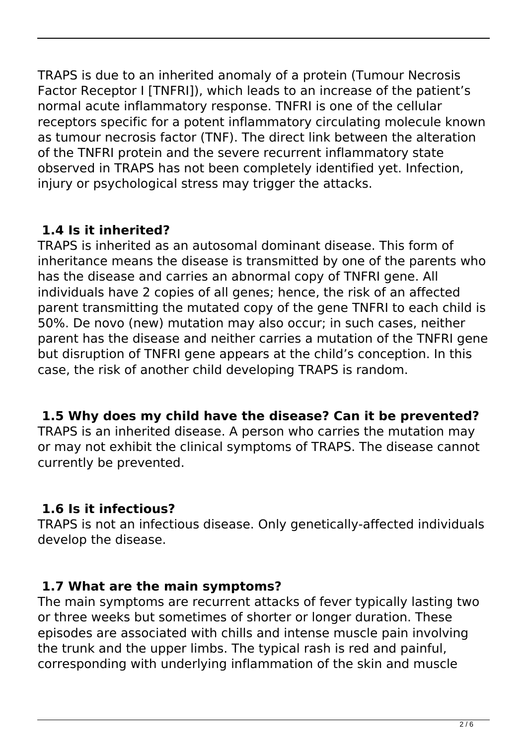TRAPS is due to an inherited anomaly of a protein (Tumour Necrosis Factor Receptor I [TNFRI]), which leads to an increase of the patient's normal acute inflammatory response. TNFRI is one of the cellular receptors specific for a potent inflammatory circulating molecule known as tumour necrosis factor (TNF). The direct link between the alteration of the TNFRI protein and the severe recurrent inflammatory state observed in TRAPS has not been completely identified yet. Infection, injury or psychological stress may trigger the attacks.

# **1.4 Is it inherited?**

TRAPS is inherited as an autosomal dominant disease. This form of inheritance means the disease is transmitted by one of the parents who has the disease and carries an abnormal copy of TNFRI gene. All individuals have 2 copies of all genes; hence, the risk of an affected parent transmitting the mutated copy of the gene TNFRI to each child is 50%. De novo (new) mutation may also occur; in such cases, neither parent has the disease and neither carries a mutation of the TNFRI gene but disruption of TNFRI gene appears at the child's conception. In this case, the risk of another child developing TRAPS is random.

# **1.5 Why does my child have the disease? Can it be prevented?**

TRAPS is an inherited disease. A person who carries the mutation may or may not exhibit the clinical symptoms of TRAPS. The disease cannot currently be prevented.

# **1.6 Is it infectious?**

TRAPS is not an infectious disease. Only genetically-affected individuals develop the disease.

# **1.7 What are the main symptoms?**

The main symptoms are recurrent attacks of fever typically lasting two or three weeks but sometimes of shorter or longer duration. These episodes are associated with chills and intense muscle pain involving the trunk and the upper limbs. The typical rash is red and painful, corresponding with underlying inflammation of the skin and muscle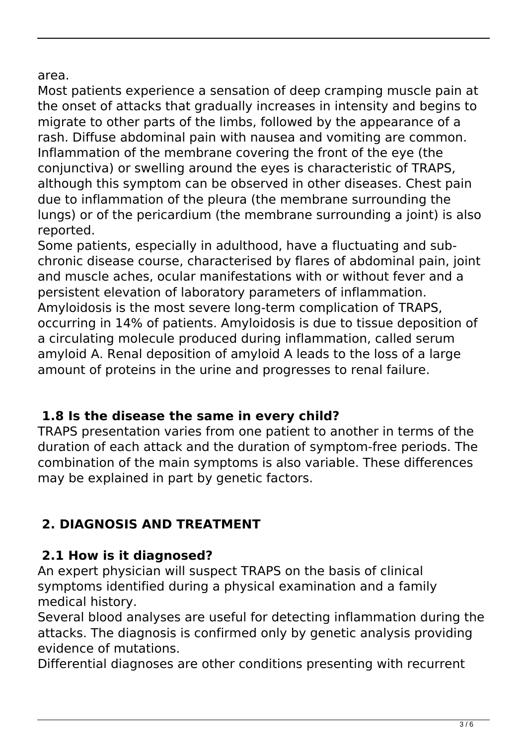area.

Most patients experience a sensation of deep cramping muscle pain at the onset of attacks that gradually increases in intensity and begins to migrate to other parts of the limbs, followed by the appearance of a rash. Diffuse abdominal pain with nausea and vomiting are common. Inflammation of the membrane covering the front of the eye (the conjunctiva) or swelling around the eyes is characteristic of TRAPS, although this symptom can be observed in other diseases. Chest pain due to inflammation of the pleura (the membrane surrounding the lungs) or of the pericardium (the membrane surrounding a joint) is also reported.

Some patients, especially in adulthood, have a fluctuating and subchronic disease course, characterised by flares of abdominal pain, joint and muscle aches, ocular manifestations with or without fever and a persistent elevation of laboratory parameters of inflammation. Amyloidosis is the most severe long-term complication of TRAPS, occurring in 14% of patients. Amyloidosis is due to tissue deposition of a circulating molecule produced during inflammation, called serum amyloid A. Renal deposition of amyloid A leads to the loss of a large amount of proteins in the urine and progresses to renal failure.

# **1.8 Is the disease the same in every child?**

TRAPS presentation varies from one patient to another in terms of the duration of each attack and the duration of symptom-free periods. The combination of the main symptoms is also variable. These differences may be explained in part by genetic factors.

# **2. DIAGNOSIS AND TREATMENT**

# **2.1 How is it diagnosed?**

An expert physician will suspect TRAPS on the basis of clinical symptoms identified during a physical examination and a family medical history.

Several blood analyses are useful for detecting inflammation during the attacks. The diagnosis is confirmed only by genetic analysis providing evidence of mutations.

Differential diagnoses are other conditions presenting with recurrent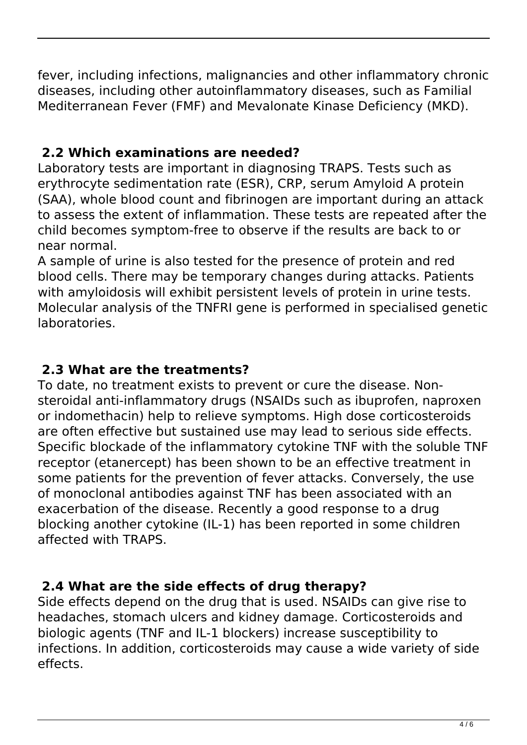fever, including infections, malignancies and other inflammatory chronic diseases, including other autoinflammatory diseases, such as Familial Mediterranean Fever (FMF) and Mevalonate Kinase Deficiency (MKD).

# **2.2 Which examinations are needed?**

Laboratory tests are important in diagnosing TRAPS. Tests such as erythrocyte sedimentation rate (ESR), CRP, serum Amyloid A protein (SAA), whole blood count and fibrinogen are important during an attack to assess the extent of inflammation. These tests are repeated after the child becomes symptom-free to observe if the results are back to or near normal.

A sample of urine is also tested for the presence of protein and red blood cells. There may be temporary changes during attacks. Patients with amyloidosis will exhibit persistent levels of protein in urine tests. Molecular analysis of the TNFRI gene is performed in specialised genetic laboratories.

# **2.3 What are the treatments?**

To date, no treatment exists to prevent or cure the disease. Nonsteroidal anti-inflammatory drugs (NSAIDs such as ibuprofen, naproxen or indomethacin) help to relieve symptoms. High dose corticosteroids are often effective but sustained use may lead to serious side effects. Specific blockade of the inflammatory cytokine TNF with the soluble TNF receptor (etanercept) has been shown to be an effective treatment in some patients for the prevention of fever attacks. Conversely, the use of monoclonal antibodies against TNF has been associated with an exacerbation of the disease. Recently a good response to a drug blocking another cytokine (IL-1) has been reported in some children affected with TRAPS.

# **2.4 What are the side effects of drug therapy?**

Side effects depend on the drug that is used. NSAIDs can give rise to headaches, stomach ulcers and kidney damage. Corticosteroids and biologic agents (TNF and IL-1 blockers) increase susceptibility to infections. In addition, corticosteroids may cause a wide variety of side effects.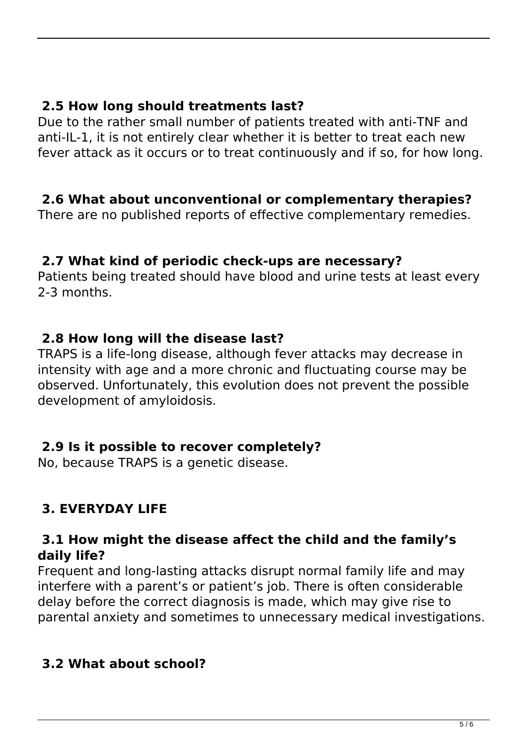#### **2.5 How long should treatments last?**

Due to the rather small number of patients treated with anti-TNF and anti-IL-1, it is not entirely clear whether it is better to treat each new fever attack as it occurs or to treat continuously and if so, for how long.

#### **2.6 What about unconventional or complementary therapies?**

There are no published reports of effective complementary remedies.

#### **2.7 What kind of periodic check-ups are necessary?**

Patients being treated should have blood and urine tests at least every 2-3 months.

#### **2.8 How long will the disease last?**

TRAPS is a life-long disease, although fever attacks may decrease in intensity with age and a more chronic and fluctuating course may be observed. Unfortunately, this evolution does not prevent the possible development of amyloidosis.

#### **2.9 Is it possible to recover completely?**

No, because TRAPS is a genetic disease.

# **3. EVERYDAY LIFE**

#### **3.1 How might the disease affect the child and the family's daily life?**

Frequent and long-lasting attacks disrupt normal family life and may interfere with a parent's or patient's job. There is often considerable delay before the correct diagnosis is made, which may give rise to parental anxiety and sometimes to unnecessary medical investigations.

# **3.2 What about school?**